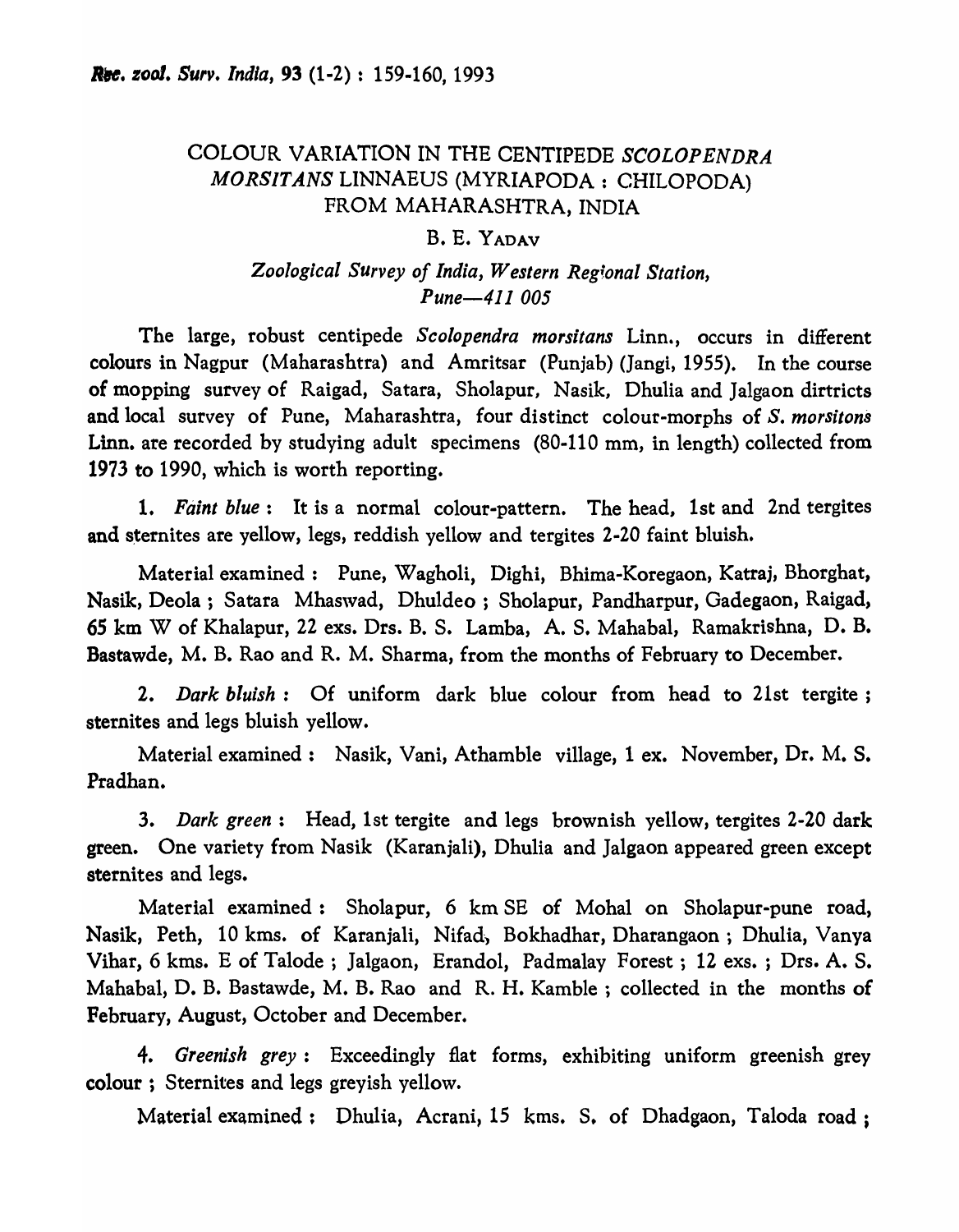# COLOUR VARIATION IN THE CENTIPEDE *SCOLOPENDRA MORSlTANS* LINNAEUS (MYRIAPODA: CHILOPODA) FROM MAHARASHTRA, INDIA

### B. E. YADAV

## *Zoological Survey of India, Western Reg!.onal Station, Pune-411 005*

The large, robust centipede *Scolopendra morsitans* Linn., occurs in different colours in Nagpur (Maharashtra) and Amritsar (Punjab) (]angi, 1955). In the course of mopping survey of Raigad, Satara, Sholapur, Nasik, Dhulia and Jalgaon dirtricts and local survey of Pune, Maharashtra, four distinct colour-morphs of *S. morsitons*  Linn. are recorded by studying adult specimens (80-110 mm, in length) collected from 1973 to 1990, which is worth reporting.

1. *Faint blue:* It is a normal colour-pattern. The head, 1st and 2nd tergites and sternites are yellow, legs, reddish yellow and tergites 2-20 faint bluish.

Material examined: Pune, Wagholi, Dighi, Bhima-Koregaon, Katraj, Bhorghat, Nasik, Deola; Satara Mhaswad, Dhuldeo; Sholapur, Pandharpur, Gadegaon, Raigad, *6S* km W of Khalapur, 22 exs. Drs. B. S. Lamba, A. S. Mahabal, Ramakrishna, D. B. Bastawde, M. B. Rao and R. M. Sharma, from the months of February to December.

*2. Dark bluish:* Of uniform dark blue colour from head to 21st tergite; sternites and legs bluish yellow.

Material examined: Nasik, Vani, Athamble village, 1 ex. November, Dr. M. S. Pradhan.

*3. Dark green:* Head, 1st tergite and legs brownish yellow, tergites 2-20 dark green. One variety from Nasik (Karanjali), Dhulia and Jalgaon appeared green except sternites and legs.

Material examined: Sholapur, 6 km SE of Mohal on Sholapur-pune road, Nasik, Peth, 10 kms. of Karanjali, Nifad, Bokhadhar, Dharangaon; Dhulia, Vanya Vihar, 6 kms. E of Talode ; Jalgaon, Erandol, Padmalay Forest; 12 exs. ; Drs. A. S. Mahabal, D. B. Bastawde, M. B. Rao and R. H. Kamble ; collected in the months of February, August, October and December.

*4. Greenish grey:* Exceedingly flat forms, exhibiting uniform greenish grey colour; Sternites and legs greyish yellow.

Material examined: Dhulia, Acrani, 15 kms. S. of Dhadgaon, Taloda road;